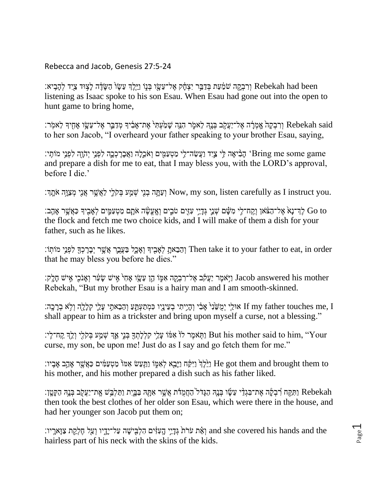Rebecca and Jacob, Genesis 27:5-24

וְ Rebekah had been וְרִבְקָה שֹׁמַּ֫עַת בְּדָבֵּר יִצְחָ֫ק אֱל־עֲשֵׂוּ הַעֲזֶי ה לְצִוּד צַיִד לְהָבִיא listening as Isaac spoke to his son Esau. When Esau had gone out into the open to hunt game to bring home,

ּוִרְבְקָהֹ אֵל־יַעֲקֹֽב בְּנֵהְ לֵאמֶר הָגֶה שָׁמַעְתִּי אֶת־אַבְּ֫יִךְ מְדַבֵּ֑ר אֶל־עֲשֵׂו אֶחָיךָ לֵאמִֽר: to her son Jacob, "I overheard your father speaking to your brother Esau, saying,

י יִהָּוֶה לִפְנֵי יִהְוֶה לִפְנֵי מֹוֹתֵי: [עֵשָׂה־לִי מַטְעַמִּים וְאֹכֵלָה וַאֲבָרָכְכָה לִפְנֵי יְהֹוֶה לִפְנֵי מֹוֹתָי and prepare a dish for me to eat, that I may bless you, with the LORD's approval, before I die.'

.yow, my son, listen carefully as I instruct you װַעֲתָּה בְנִי שָׁמַע בִקֹלֵי לַאֲשֵׁר אֲנִי מִצַוֶּה אֹחֵדְּ

י הָעֵׁי אָ הָדֵי עָזִיִם טֹּבִים וְאֶעֱשֶׂה אֹתָם מַטְעַמֱים לְאָבִיךָּ כַּאֲשֶׁר אַהֲבָ׃ Go to the flock and fetch me two choice kids, and I will make of them a dish for your father, such as he likes.

ָהֵבָאתֵ לְאָבִיךְּ וְאָכֵל בַעֲבֵר אֲשֶׁר יִבָּרֶכְךָּ לִפְגֵי מוֹתְוֹ Then take it to your father to eat, in order that he may bless you before he dies."

יִשׁ הָן עֵשֶׂו אָחִי אִישׁ שָׂעִר וְאָנֹכִי אִישׁ חָלֶק: Iacob answered his mother Rebekah, "But my brother Esau is a hairy man and I am smooth-skinned.

וֹ אוּלֵי יְמִשָּׂנִי אֲבִי וְהָיֵיתִי בְעֵינֵיִו כִּמְתַעְתֲעָ וְהֶבֵאתֵי עֲלֵי קַלָלָהְ וְלֹּא בְרַכֵּה: If my father touches me, I shall appear to him as a trickster and bring upon myself a curse, not a blessing."

יָה־לְי: But his mother said to him, "Your נַתְּאמֶר לֹוֹ אִמּׂוֹ עָלֵי קִלְלָתְךָּ בְּנֵי אֲךָּ שְׁמַע בְּקֹלֻי וְלֵךְ קַח־לִִי curse, my son, be upon me! Just do as I say and go fetch them for me."

the got them and brought them to וַיֵּבְא לְאִמֶּוֹ וַתַּעֲשׂ אִמּוֹ מַטְעַמִּ֫יִם כַּאֲשֶׁר אֶהֵב אָבִיו: his mother, and his mother prepared a dish such as his father liked.

ָׂוַתְּה הַקְּמַ֣דָּ בְּבֵ֣הְ הַחֲטֵ֣ן [בִֽהְהַעֲקֹֽב בְּבֵ֣ה הַקְטֵ֣וֹ׃ Rebekah then took the best clothes of her older son Esau, which were there in the house, and had her younger son Jacob put them on;

וֹ and she covered his hands and the וְ זִיּה הֵלְבִישָׁה עַל־יָדָיו וְעַל חֶלְקָת צַוָּארֵיו: hairless part of his neck with the skins of the kids.